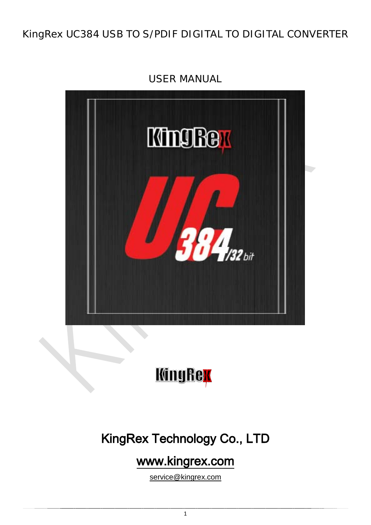## KingRex UC384 USB TO S/PDIF DIGITAL TO DIGITAL CONVERTER



USER MANUAL



# KingRex Technology Co., LTD

## [www.kingrex.com](http://www.kingrex.com/)

[service@kingrex.com](mailto:service@kingrex.com)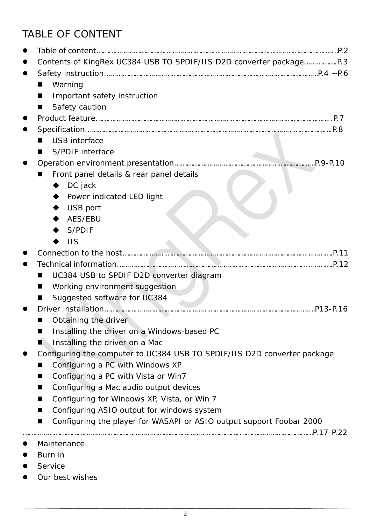## TABLE OF CONTENT

| Warning                                                                   |          |
|---------------------------------------------------------------------------|----------|
| Important safety instruction                                              |          |
| Safety caution                                                            |          |
|                                                                           |          |
|                                                                           |          |
| <b>USB</b> interface                                                      |          |
| <b>S/PDIF interface</b>                                                   |          |
|                                                                           |          |
| Front panel details & rear panel details                                  |          |
| DC jack                                                                   |          |
| Power indicated LED light                                                 |          |
| USB port                                                                  |          |
| AES/EBU                                                                   |          |
| S/PDIF                                                                    |          |
| $\overline{\mathsf{I}}$                                                   |          |
|                                                                           |          |
|                                                                           |          |
| UC384 USB to SPDIF D2D converter diagram                                  |          |
| Working environment suggestion                                            |          |
| Suggested software for UC384                                              |          |
|                                                                           | P13-P.16 |
| Obtaining the driver                                                      |          |
| Installing the driver on a Windows-based PC<br>■                          |          |
| Installing the driver on a Mac                                            |          |
| Configuring the computer to UC384 USB TO SPDIF/IIS D2D converter package  |          |
| Configuring a PC with Windows XP                                          |          |
|                                                                           |          |
| Configuring a PC with Vista or Win7<br>■                                  |          |
| Configuring a Mac audio output devices                                    |          |
| Configuring for Windows XP, Vista, or Win 7<br>■                          |          |
| Configuring ASIO output for windows system<br>■                           |          |
| Configuring the player for WASAPI or ASIO output support Foobar 2000<br>■ |          |
|                                                                           |          |
| Maintenance                                                               |          |
| Burn in                                                                   |          |
| Service                                                                   |          |
| Our best wishes                                                           |          |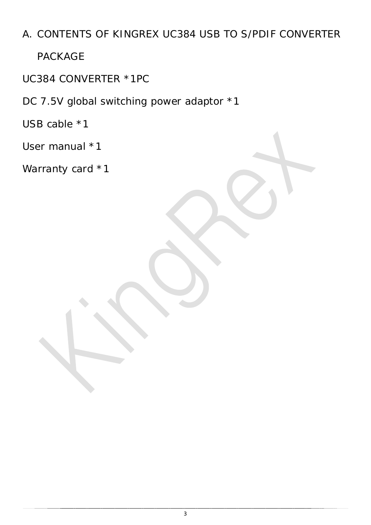## A. CONTENTS OF KINGREX UC384 USB TO S/PDIF CONVERTER

PACKAGE

UC384 CONVERTER \*1PC

DC 7.5V global switching power adaptor \*1

USB cable \*1

User manual \*1

Warranty card \*1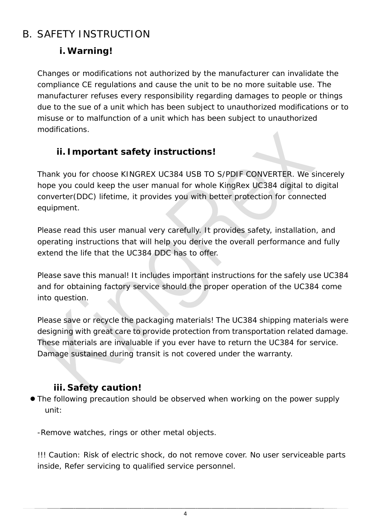## B. SAFETY INSTRUCTION

### **i. Warning!**

Changes or modifications not authorized by the manufacturer can invalidate the compliance CE regulations and cause the unit to be no more suitable use. The manufacturer refuses every responsibility regarding damages to people or things due to the sue of a unit which has been subject to unauthorized modifications or to misuse or to malfunction of a unit which has been subject to unauthorized modifications.

### **ii. Important safety instructions!**

Thank you for choose KINGREX UC384 USB TO S/PDIF CONVERTER. We sincerely hope you could keep the user manual for whole KingRex UC384 digital to digital converter(DDC) lifetime, it provides you with better protection for connected equipment.

Please read this user manual very carefully. It provides safety, installation, and operating instructions that will help you derive the overall performance and fully extend the life that the UC384 DDC has to offer.

Please save this manual! It includes important instructions for the safely use UC384 and for obtaining factory service should the proper operation of the UC384 come into question.

Please save or recycle the packaging materials! The UC384 shipping materials were designing with great care to provide protection from transportation related damage. These materials are invaluable if you ever have to return the UC384 for service. Damage sustained during transit is not covered under the warranty.

### **iii. Safety caution!**

 The following precaution should be observed when working on the power supply unit:

-Remove watches, rings or other metal objects.

!!! Caution: Risk of electric shock, do not remove cover. No user serviceable parts inside, Refer servicing to qualified service personnel.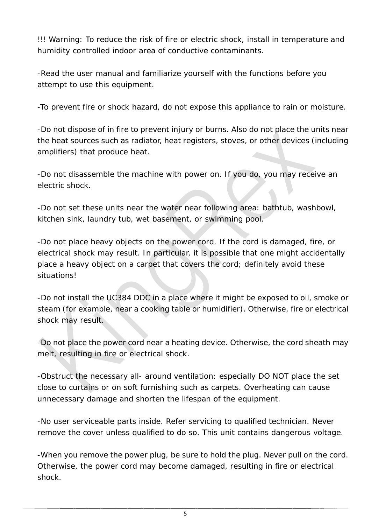!!! Warning: To reduce the risk of fire or electric shock, install in temperature and humidity controlled indoor area of conductive contaminants.

-Read the user manual and familiarize yourself with the functions before you attempt to use this equipment.

-To prevent fire or shock hazard, do not expose this appliance to rain or moisture.

-Do not dispose of in fire to prevent injury or burns. Also do not place the units near the heat sources such as radiator, heat registers, stoves, or other devices (including amplifiers) that produce heat.

-Do not disassemble the machine with power on. If you do, you may receive an electric shock.

-Do not set these units near the water near following area: bathtub, washbowl, kitchen sink, laundry tub, wet basement, or swimming pool.

-Do not place heavy objects on the power cord. If the cord is damaged, fire, or electrical shock may result. In particular, it is possible that one might accidentally place a heavy object on a carpet that covers the cord; definitely avoid these situations!

-Do not install the UC384 DDC in a place where it might be exposed to oil, smoke or steam (for example, near a cooking table or humidifier). Otherwise, fire or electrical shock may result.

-Do not place the power cord near a heating device. Otherwise, the cord sheath may melt, resulting in fire or electrical shock.

-Obstruct the necessary all- around ventilation: especially DO NOT place the set close to curtains or on soft furnishing such as carpets. Overheating can cause unnecessary damage and shorten the lifespan of the equipment.

-No user serviceable parts inside. Refer servicing to qualified technician. Never remove the cover unless qualified to do so. This unit contains dangerous voltage.

-When you remove the power plug, be sure to hold the plug. Never pull on the cord. Otherwise, the power cord may become damaged, resulting in fire or electrical shock.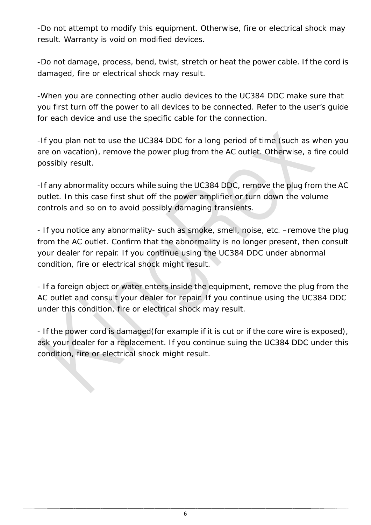-Do not attempt to modify this equipment. Otherwise, fire or electrical shock may result. Warranty is void on modified devices.

-Do not damage, process, bend, twist, stretch or heat the power cable. If the cord is damaged, fire or electrical shock may result.

-When you are connecting other audio devices to the UC384 DDC make sure that you first turn off the power to all devices to be connected. Refer to the user's guide for each device and use the specific cable for the connection.

-If you plan not to use the UC384 DDC for a long period of time (such as when you are on vacation), remove the power plug from the AC outlet. Otherwise, a fire could possibly result.

-If any abnormality occurs while suing the UC384 DDC, remove the plug from the AC outlet. In this case first shut off the power amplifier or turn down the volume controls and so on to avoid possibly damaging transients.

- If you notice any abnormality- such as smoke, smell, noise, etc. –remove the plug from the AC outlet. Confirm that the abnormality is no longer present, then consult your dealer for repair. If you continue using the UC384 DDC under abnormal condition, fire or electrical shock might result.

- If a foreign object or water enters inside the equipment, remove the plug from the AC outlet and consult your dealer for repair. If you continue using the UC384 DDC under this condition, fire or electrical shock may result.

- If the power cord is damaged(for example if it is cut or if the core wire is exposed), ask your dealer for a replacement. If you continue suing the UC384 DDC under this condition, fire or electrical shock might result.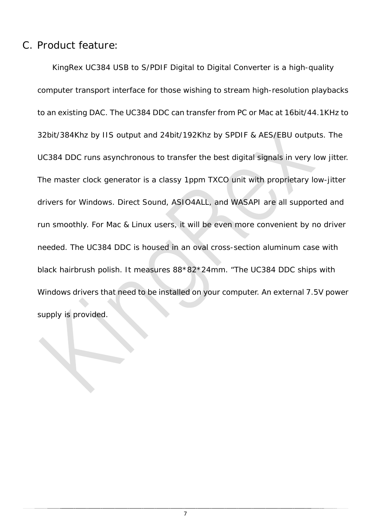#### C. Product feature:

KingRex UC384 USB to S/PDIF Digital to Digital Converter is a high-quality computer transport interface for those wishing to stream high-resolution playbacks to an existing DAC. The UC384 DDC can transfer from PC or Mac at 16bit/44.1KHz to 32bit/384Khz by IIS output and 24bit/192Khz by SPDIF & AES/EBU outputs. The UC384 DDC runs asynchronous to transfer the best digital signals in very low jitter. The master clock generator is a classy 1ppm TXCO unit with proprietary low-jitter drivers for Windows. Direct Sound, ASIO4ALL, and WASAPI are all supported and run smoothly. For Mac & Linux users, it will be even more convenient by no driver needed. The UC384 DDC is housed in an oval cross-section aluminum case with black hairbrush polish. It measures 88\*82\*24mm. "The UC384 DDC ships with Windows drivers that need to be installed on your computer. An external 7.5V power supply is provided.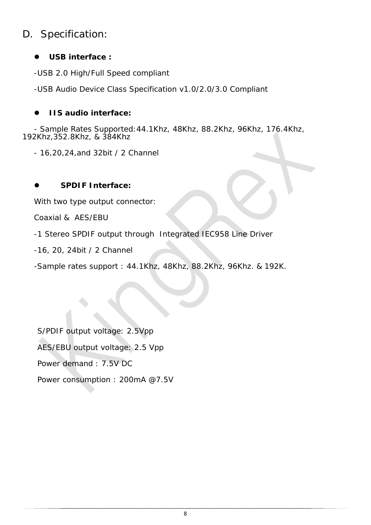### D. Specification:

#### **USB interface :**

-USB 2.0 High/Full Speed compliant

-USB Audio Device Class Specification v1.0/2.0/3.0 Compliant

#### **IIS audio interface:**

- Sample Rates Supported:44.1Khz, 48Khz, 88.2Khz, 96Khz, 176.4Khz, 192Khz,352.8Khz, & 384Khz

- 16,20,24,and 32bit / 2 Channel

#### **SPDIF Interface:**

With two type output connector:

Coaxial & AES/EBU

-1 Stereo SPDIF output through Integrated IEC958 Line Driver

-16, 20, 24bit / 2 Channel

-Sample rates support : 44.1Khz, 48Khz, 88.2Khz, 96Khz. & 192K.

S/PDIF output voltage: 2.5Vpp AES/EBU output voltage: 2.5 Vpp Power demand : 7.5V DC Power consumption : 200mA @7.5V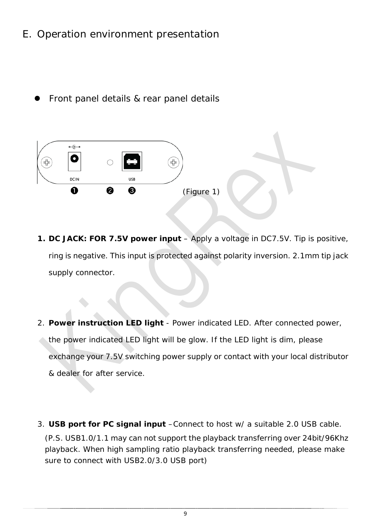### E. Operation environment presentation

Front panel details & rear panel details



- **1. DC JACK: FOR 7.5V power input** Apply a voltage in DC7.5V. Tip is positive, ring is negative. This input is protected against polarity inversion. 2.1mm tip jack supply connector.
- 2. **Power instruction LED light** Power indicated LED. After connected power, the power indicated LED light will be glow. If the LED light is dim, please exchange your 7.5V switching power supply or contact with your local distributor & dealer for after service.
- 3. **USB port for PC signal input** –Connect to host w/ a suitable 2.0 USB cable. (P.S. USB1.0/1.1 may can not support the playback transferring over 24bit/96Khz playback. When high sampling ratio playback transferring needed, please make sure to connect with USB2.0/3.0 USB port)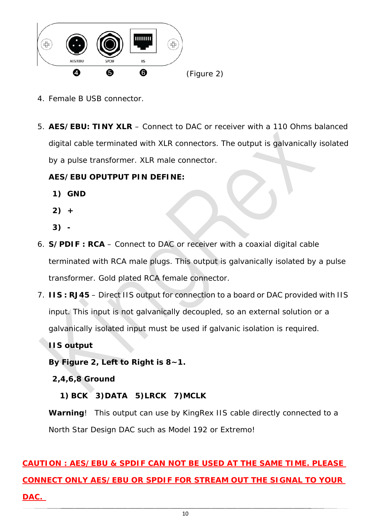

- 4. Female B USB connector.
- 5. **AES/EBU: TINY XLR** Connect to DAC or receiver with a 110 Ohms balanced digital cable terminated with XLR connectors. The output is galvanically isolated by a pulse transformer. XLR male connector.

#### **AES/EBU OPUTPUT PIN DEFINE:**

- **1) GND**
- **2) +**
- **3) -**
- 6. **S/PDIF : RCA**  Connect to DAC or receiver with a coaxial digital cable terminated with RCA male plugs. This output is galvanically isolated by a pulse transformer. Gold plated RCA female connector.
- 7. **IIS : RJ45** Direct IIS output for connection to a board or DAC provided with IIS input. This input is not galvanically decoupled, so an external solution or a galvanically isolated input must be used if galvanic isolation is required.

**IIS output** 

**By Figure 2, Left to Right is 8~1.** 

**2,4,6,8 Ground** 

#### **1) BCK 3)DATA 5)LRCK 7)MCLK**

**Warning**! This output can use by KingRex IIS cable directly connected to a North Star Design DAC such as Model 192 or Extremo!

## **CAUTION : AES/EBU & SPDIF CAN NOT BE USED AT THE SAME TIME. PLEASE CONNECT ONLY AES/EBU OR SPDIF FOR STREAM OUT THE SIGNAL TO YOUR DAC.**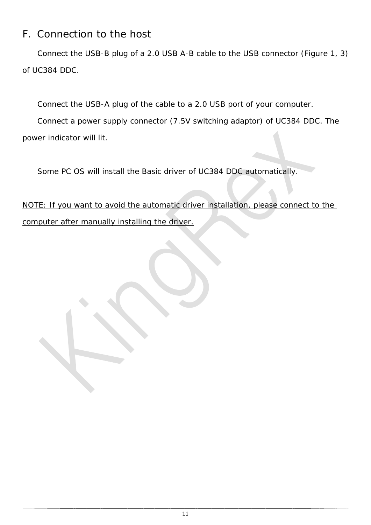### F. Connection to the host

Connect the USB-B plug of a 2.0 USB A-B cable to the USB connector (Figure 1, 3) of UC384 DDC.

Connect the USB-A plug of the cable to a 2.0 USB port of your computer.

Connect a power supply connector (7.5V switching adaptor) of UC384 DDC. The power indicator will lit.

Some PC OS will install the Basic driver of UC384 DDC automatically.

NOTE: If you want to avoid the automatic driver installation, please connect to the computer after manually installing the driver.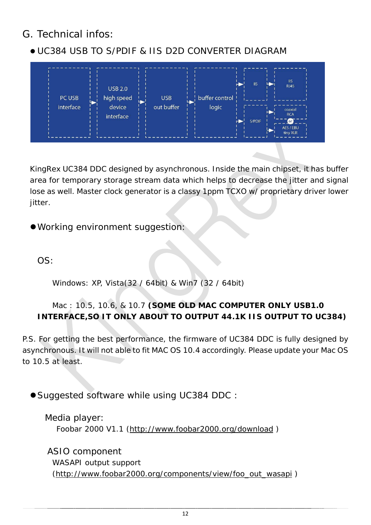### G. Technical infos:

### UC384 USB TO S/PDIF & IIS D2D CONVERTER DIAGRAM



KingRex UC384 DDC designed by asynchronous. Inside the main chipset, it has buffer area for temporary storage stream data which helps to decrease the jitter and signal lose as well. Master clock generator is a classy 1ppm TCXO w/ proprietary driver lower jitter.

Working environment suggestion:

OS:

Windows: XP, Vista(32 / 64bit) & Win7 (32 / 64bit)

#### Mac : 10.5, 10.6, & 10.7 **(SOME OLD MAC COMPUTER ONLY USB1.0 INTERFACE,SO IT ONLY ABOUT TO OUTPUT 44.1K IIS OUTPUT TO UC384)**

P.S. For getting the best performance, the firmware of UC384 DDC is fully designed by asynchronous. It will not able to fit MAC OS 10.4 accordingly. Please update your Mac OS to 10.5 at least.

● Suggested software while using UC384 DDC:

Media player: Foobar 2000 V1.1 [\(http://www.foobar2000.org/download](http://www.foobar2000.org/download) )

ASIO component WASAPI output support [\(http://www.foobar2000.org/components/view/foo\\_out\\_wasapi](http://www.foobar2000.org/components/view/foo_out_wasapi) )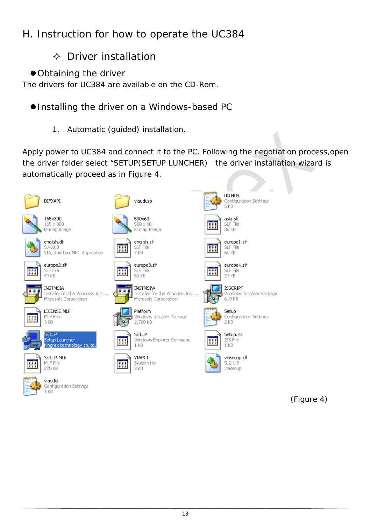## H. Instruction for how to operate the UC384

### $\Diamond$  Driver installation

Obtaining the driver

The drivers for UC384 are available on the CD-Rom.

#### Installing the driver on a Windows-based PC

1. Automatic (guided) installation.

Apply power to UC384 and connect it to the PC. Following the negotiation process,open the driver folder select "SETUP(SETUP LUNCHER) the driver installation wizard is automatically proceed as in Figure 4.



(Figure 4)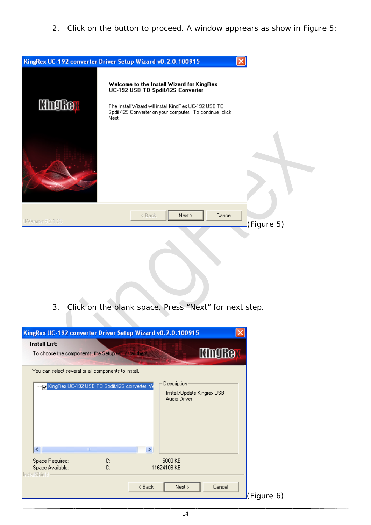2. Click on the button to proceed. A window apprears as show in Figure 5:



3. Click on the blank space. Press "Next" for next step.

| KingRex UC-192 converter Driver Setup Wizard v0.2.0.100915                                                              |                                                                 |                |
|-------------------------------------------------------------------------------------------------------------------------|-----------------------------------------------------------------|----------------|
| <b>Install List:</b><br>To choose the components, the Setup will install them.                                          |                                                                 | <b>King Re</b> |
| You can select several or all components to install.<br>KingRex UC-192 USB TO Spdif/I2S converter Ve<br>∢∣<br>$\rm HII$ | Description:<br>Install/Update Kingrex USB<br>Audio Driver<br>× |                |
| Space Required:<br>C:<br>C:<br>Space Available:<br><b>InstallShield</b>                                                 | 5000 KB<br>11624108 KB                                          |                |
|                                                                                                                         | < Back<br>Next >                                                | Cancel         |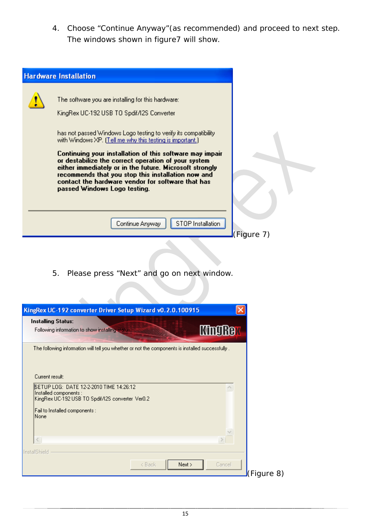4. Choose "Continue Anyway"(as recommended) and proceed to next step. The windows shown in figure7 will show.

| <b>Hardware Installation</b>                                                                                                                                                                                                                                                                                          |            |
|-----------------------------------------------------------------------------------------------------------------------------------------------------------------------------------------------------------------------------------------------------------------------------------------------------------------------|------------|
| The software you are installing for this hardware:                                                                                                                                                                                                                                                                    |            |
| KingRex UC-192 USB TO Spdif/I2S Converter                                                                                                                                                                                                                                                                             |            |
| has not passed Windows Logo testing to verify its compatibility.<br>with Windows XP. (Tell me why this testing is important.)                                                                                                                                                                                         |            |
| Continuing your installation of this software may impair<br>or destabilize the correct operation of your system<br>either immediately or in the future. Microsoft strongly<br>recommends that you stop this installation now and<br>contact the hardware vendor for software that has<br>passed Windows Logo testing. |            |
| STOP Installation<br>Continue Anyway                                                                                                                                                                                                                                                                                  | (Figure 7) |

5. Please press "Next" and go on next window.

 $\mathcal{L}_{\mathcal{A}}$ 

| <b>Installing Status:</b><br>Following information to show installing status.                     | <b>KingRe</b>    |
|---------------------------------------------------------------------------------------------------|------------------|
| The following information will tell you whether or not the components is installed successfully . |                  |
|                                                                                                   |                  |
|                                                                                                   |                  |
| Current result:                                                                                   |                  |
|                                                                                                   |                  |
| ISETUP LOG: DATE 12-2-2010 TIME 14:26:12<br>Installed components :                                | ×.               |
| KingRex UC-192 USB TO Spdif/12S converter Ver0.2                                                  |                  |
| Fail to Installed components :                                                                    |                  |
| None                                                                                              |                  |
|                                                                                                   |                  |
|                                                                                                   |                  |
|                                                                                                   |                  |
| $\,<$                                                                                             |                  |
|                                                                                                   |                  |
|                                                                                                   |                  |
| InstallShield<br>< Back                                                                           | Next ><br>Cancel |

 $8)$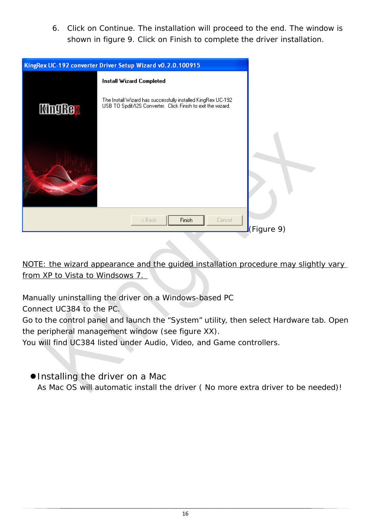6. Click on Continue. The installation will proceed to the end. The window is shown in figure 9. Click on Finish to complete the driver installation.

| KingRex UC-192 converter Driver Setup Wizard v0.2.0.100915                                                                                   |        |
|----------------------------------------------------------------------------------------------------------------------------------------------|--------|
| <b>Install Wizard Completed</b>                                                                                                              |        |
| The Install Wizard has successfully installed KingRex UC-192<br>USB TO Spdif/12S Converter. Click Finish to exit the wizard.<br><b>MngRe</b> |        |
|                                                                                                                                              |        |
| Finish<br>< Back                                                                                                                             | Cancel |

NOTE: the wizard appearance and the guided installation procedure may slightly vary from XP to Vista to Windsows 7.

Manually uninstalling the driver on a Windows-based PC

Connect UC384 to the PC.

Go to the control panel and launch the "System" utility, then select Hardware tab. Open the peripheral management window (see figure XX).

You will find UC384 listed under Audio, Video, and Game controllers.

● Installing the driver on a Mac

As Mac OS will automatic install the driver ( No more extra driver to be needed)!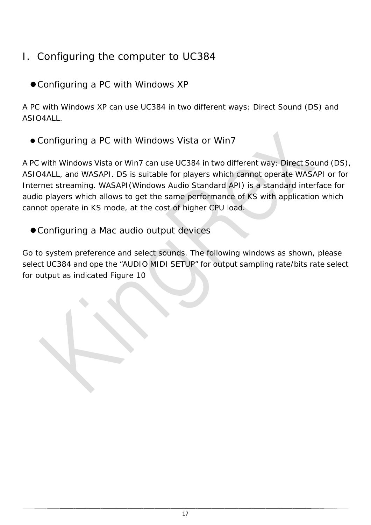## I. Configuring the computer to UC384

Configuring a PC with Windows XP

A PC with Windows XP can use UC384 in two different ways: Direct Sound (DS) and ASIO4ALL.

Configuring a PC with Windows Vista or Win7

A PC with Windows Vista or Win7 can use UC384 in two different way: Direct Sound (DS), ASIO4ALL, and WASAPI. DS is suitable for players which cannot operate WASAPI or for Internet streaming. WASAPI(Windows Audio Standard API) is a standard interface for audio players which allows to get the same performance of KS with application which cannot operate in KS mode, at the cost of higher CPU load.

Configuring a Mac audio output devices

Go to system preference and select sounds. The following windows as shown, please select UC384 and ope the "AUDIO MIDI SETUP" for output sampling rate/bits rate select for output as indicated Figure 10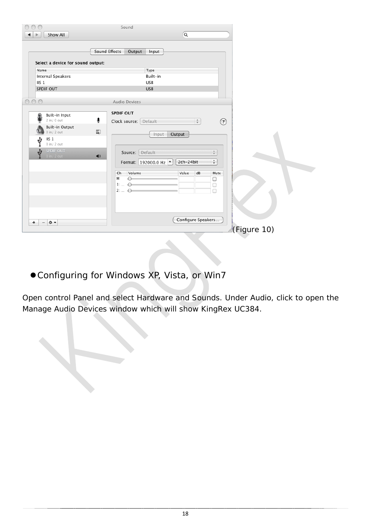| $\subset$                                                                                                                                                                                                                                        | Sound                                                                                                                                                                                                                                                              |
|--------------------------------------------------------------------------------------------------------------------------------------------------------------------------------------------------------------------------------------------------|--------------------------------------------------------------------------------------------------------------------------------------------------------------------------------------------------------------------------------------------------------------------|
| Show All                                                                                                                                                                                                                                         |                                                                                                                                                                                                                                                                    |
| Select a device for sound output:<br>Name<br><b>Internal Speakers</b><br>$\overline{1}$ IIS 1<br>SPDIF OUT<br>$\bigcirc$<br>Built-in Input<br>£<br>2 in/ 0 out<br>Built-in Output<br>$0$ in/ $2$ out<br>IIS <sub>1</sub><br>V<br>$0$ in/ $2$ out | $\overline{a}$<br>Sound Effects<br>Output<br>Input<br>Type<br>Built-in<br>USB<br><b>USB</b><br>Audio Devices<br><b>SPDIF OUT</b><br>♦<br>$\frac{\Delta}{\Psi}$<br>$\circledR$<br>Clock source: Default<br>医<br>Output<br>Input                                     |
| SPDIF OUT<br>$0$ in/ $2$ out<br>$\frac{1}{2}$<br>٠<br>-                                                                                                                                                                                          | $\frac{\mathbb{A}}{\mathbb{V}}$<br>Source: Default<br>$\blacktriangleleft$<br>$\ddot{\phantom{1}}$<br>2ch-24bit<br>Format: 192000.0 Hz  v<br>Volume<br>Value<br>dB<br>Ch<br>Mute<br>M<br>0<br>0<br>1:<br>$\Omega$<br>0<br>2:<br>$\circ$<br>□<br>Configure Speakers |
|                                                                                                                                                                                                                                                  | d(Figure 10)                                                                                                                                                                                                                                                       |

Configuring for Windows XP, Vista, or Win7

Open control Panel and select Hardware and Sounds. Under Audio, click to open the Manage Audio Devices window which will show KingRex UC384.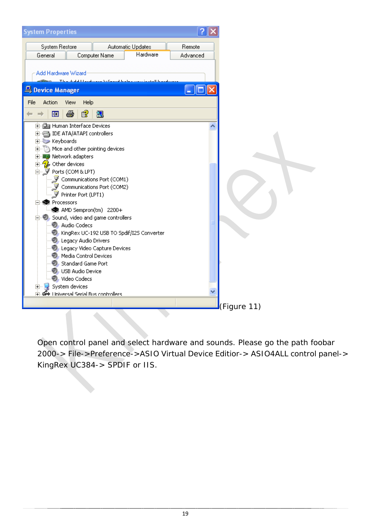

Open control panel and select hardware and sounds. Please go the path foobar 2000-> File->Preference->ASIO Virtual Device Editior-> ASIO4ALL control panel-> KingRex UC384-> SPDIF or IIS.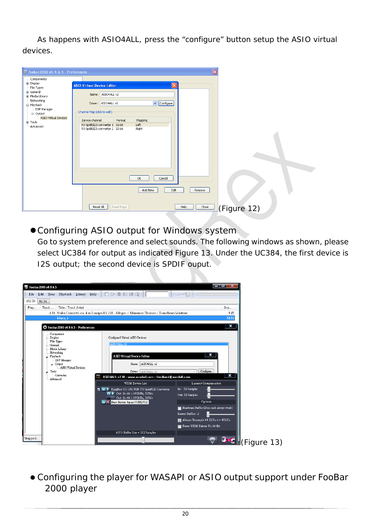As happens with ASIO4ALL, press the "configure" button setup the ASIO virtual devices.

| Components<br>Display<br>$\mathbf{x}$<br><b>ASIO Virtual Device Editor</b><br>File Types<br>General<br>ASIO4ALL v2<br>Name:<br>Media Library<br>Networking<br>$\vee$ Configure<br>Driver: ASIO4ALL v2<br>- Playback<br>DSP Manager<br>Channel Map (click to edit)<br><b>E</b> -Output<br>- ASIO Virtual Devices<br>Device channel<br>Format<br>Mapping<br>E-Tools<br>Left<br>TO Spdif/I2S converter 1 32-bit<br>- Advanced<br>TO Spdif/I2S converter 2 32-bit<br>Right |
|------------------------------------------------------------------------------------------------------------------------------------------------------------------------------------------------------------------------------------------------------------------------------------------------------------------------------------------------------------------------------------------------------------------------------------------------------------------------|
|                                                                                                                                                                                                                                                                                                                                                                                                                                                                        |
|                                                                                                                                                                                                                                                                                                                                                                                                                                                                        |
|                                                                                                                                                                                                                                                                                                                                                                                                                                                                        |
|                                                                                                                                                                                                                                                                                                                                                                                                                                                                        |
|                                                                                                                                                                                                                                                                                                                                                                                                                                                                        |
|                                                                                                                                                                                                                                                                                                                                                                                                                                                                        |
|                                                                                                                                                                                                                                                                                                                                                                                                                                                                        |
|                                                                                                                                                                                                                                                                                                                                                                                                                                                                        |
|                                                                                                                                                                                                                                                                                                                                                                                                                                                                        |
|                                                                                                                                                                                                                                                                                                                                                                                                                                                                        |
|                                                                                                                                                                                                                                                                                                                                                                                                                                                                        |
|                                                                                                                                                                                                                                                                                                                                                                                                                                                                        |
|                                                                                                                                                                                                                                                                                                                                                                                                                                                                        |
|                                                                                                                                                                                                                                                                                                                                                                                                                                                                        |
|                                                                                                                                                                                                                                                                                                                                                                                                                                                                        |
|                                                                                                                                                                                                                                                                                                                                                                                                                                                                        |
|                                                                                                                                                                                                                                                                                                                                                                                                                                                                        |
|                                                                                                                                                                                                                                                                                                                                                                                                                                                                        |
|                                                                                                                                                                                                                                                                                                                                                                                                                                                                        |
|                                                                                                                                                                                                                                                                                                                                                                                                                                                                        |
|                                                                                                                                                                                                                                                                                                                                                                                                                                                                        |
|                                                                                                                                                                                                                                                                                                                                                                                                                                                                        |
| $\mathsf{OK}% _{\mathsf{CL}}^{\mathsf{CL}}(\mathcal{M}_{0})$<br>Cancel                                                                                                                                                                                                                                                                                                                                                                                                 |
|                                                                                                                                                                                                                                                                                                                                                                                                                                                                        |
| Add New<br>Edit<br>Remove                                                                                                                                                                                                                                                                                                                                                                                                                                              |
|                                                                                                                                                                                                                                                                                                                                                                                                                                                                        |
|                                                                                                                                                                                                                                                                                                                                                                                                                                                                        |
|                                                                                                                                                                                                                                                                                                                                                                                                                                                                        |
| Reset All<br>Reset Page<br>Help<br>Close<br>(Figure 12)                                                                                                                                                                                                                                                                                                                                                                                                                |
|                                                                                                                                                                                                                                                                                                                                                                                                                                                                        |

Configuring ASIO output for Windows system

Go to system preference and select sounds. The following windows as shown, please select UC384 for output as indicated Figure 13. Under the UC384, the first device is I2S output; the second device is SPDIF ouput.



 Configuring the player for WASAPI or ASIO output support under FooBar 2000 player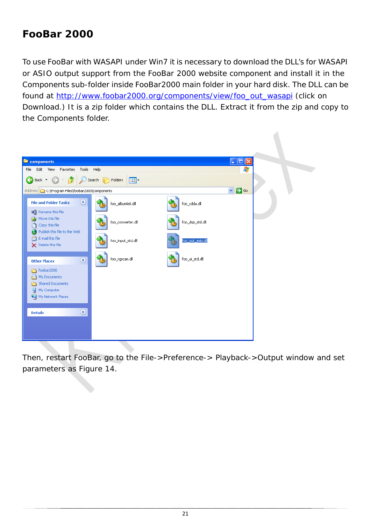## **FooBar 2000**

To use FooBar with WASAPI under Win7 it is necessary to download the DLL's for WASAPI or ASIO output support from the FooBar 2000 website component and install it in the Components sub-folder inside FooBar2000 main folder in your hard disk. The DLL can be found at [http://www.foobar2000.org/components/view/foo\\_out\\_wasapi](http://www.foobar2000.org/components/view/foo_out_wasapi) (click on Download.) It is a zip folder which contains the DLL. Extract it from the zip and copy to the Components folder.



Then, restart FooBar, go to the File->Preference-> Playback->Output window and set parameters as Figure 14.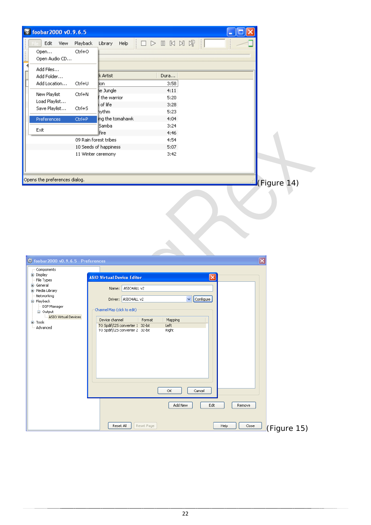| Toobar 2000 v0.9.6.5                                                                                                                                                                                                                           |                                                                                                                                                                                                                                                                                                                                                                                         |                         |
|------------------------------------------------------------------------------------------------------------------------------------------------------------------------------------------------------------------------------------------------|-----------------------------------------------------------------------------------------------------------------------------------------------------------------------------------------------------------------------------------------------------------------------------------------------------------------------------------------------------------------------------------------|-------------------------|
| Edit<br>Playback<br>View<br>Ctrl+O<br>Open<br>Open Audio CD<br>$\overline{4}$<br>Add Files<br>I<br>Add Folder<br>Ctrl+U<br>Add Location<br>New Playlist<br>Ctrl+N<br>Load Playlist<br>Save Playlist<br>Ctrl+S<br>Preferences<br>Ctrl+P<br>Exit | $\Box \triangleright \mathbb{I} \mathbb{N} \mathbb{N} \mathbb{N} \otimes   $<br>Library<br>Help<br>k Artist<br>Dura<br>3:58<br>jion.<br>e Jungle<br>4:11<br>the warrior<br>5:20<br>of life<br>3:28<br><b>lythm</b><br>5:23<br>ing the tomahawk<br>4:04<br>Samba<br>3:24<br>Fire<br>4:46<br>09 Rain forest tribes<br>4:54<br>10 Seeds of happiness<br>5:07<br>3:42<br>11 Winter ceremony |                         |
| Opens the preferences dialog.                                                                                                                                                                                                                  |                                                                                                                                                                                                                                                                                                                                                                                         | EGUre 14)               |
| C foobar 2000 v0.9.6.5 - Preferences                                                                                                                                                                                                           |                                                                                                                                                                                                                                                                                                                                                                                         | $\overline{\mathsf{x}}$ |
| Components                                                                                                                                                                                                                                     |                                                                                                                                                                                                                                                                                                                                                                                         |                         |
| <b>E</b> Display<br>File Types                                                                                                                                                                                                                 | $\vert \mathsf{x} \vert$<br><b>ASIO Virtual Device Editor</b>                                                                                                                                                                                                                                                                                                                           |                         |
| <b>E</b> -General                                                                                                                                                                                                                              | ASIO4ALL v2<br>Name:                                                                                                                                                                                                                                                                                                                                                                    |                         |
| El-Media Library<br>Networking                                                                                                                                                                                                                 |                                                                                                                                                                                                                                                                                                                                                                                         |                         |
| 白·Playback                                                                                                                                                                                                                                     | Configure<br>ASIO4ALL v2<br>v.<br>Driver:                                                                                                                                                                                                                                                                                                                                               |                         |
| DSP Manager<br><b>E</b> -Output                                                                                                                                                                                                                | Channel Map (click to edit)                                                                                                                                                                                                                                                                                                                                                             |                         |
| ASIO Virtual Devices<br>国·Tools                                                                                                                                                                                                                | Device channel<br>Format<br>Mapping                                                                                                                                                                                                                                                                                                                                                     |                         |
| Advanced                                                                                                                                                                                                                                       | TO Spdif/I2S converter 1 32-bit<br>Left<br>TO Spdif/I2S converter 2 32-bit<br>Right<br>ОК<br>Cancel                                                                                                                                                                                                                                                                                     |                         |
|                                                                                                                                                                                                                                                | Add New<br>Edit                                                                                                                                                                                                                                                                                                                                                                         | Remove                  |
|                                                                                                                                                                                                                                                | Reset All<br>Reset Page<br>Help                                                                                                                                                                                                                                                                                                                                                         | Close<br>(Figure 15)    |